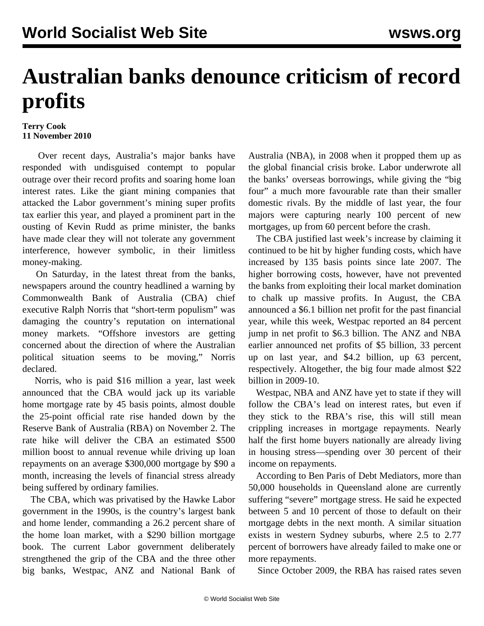## **Australian banks denounce criticism of record profits**

## **Terry Cook 11 November 2010**

 Over recent days, Australia's major banks have responded with undisguised contempt to popular outrage over their record profits and soaring home loan interest rates. Like the giant mining companies that attacked the Labor government's mining super profits tax earlier this year, and played a prominent part in the ousting of Kevin Rudd as prime minister, the banks have made clear they will not tolerate any government interference, however symbolic, in their limitless money-making.

 On Saturday, in the latest threat from the banks, newspapers around the country headlined a warning by Commonwealth Bank of Australia (CBA) chief executive Ralph Norris that "short-term populism" was damaging the country's reputation on international money markets. "Offshore investors are getting concerned about the direction of where the Australian political situation seems to be moving," Norris declared.

 Norris, who is paid \$16 million a year, last week announced that the CBA would jack up its variable home mortgage rate by 45 basis points, almost double the 25-point official rate rise handed down by the Reserve Bank of Australia (RBA) on November 2. The rate hike will deliver the CBA an estimated \$500 million boost to annual revenue while driving up loan repayments on an average \$300,000 mortgage by \$90 a month, increasing the levels of financial stress already being suffered by ordinary families.

 The CBA, which was privatised by the Hawke Labor government in the 1990s, is the country's largest bank and home lender, commanding a 26.2 percent share of the home loan market, with a \$290 billion mortgage book. The current Labor government deliberately strengthened the grip of the CBA and the three other big banks, Westpac, ANZ and National Bank of Australia (NBA), in 2008 when it propped them up as the global financial crisis broke. Labor underwrote all the banks' overseas borrowings, while giving the "big four" a much more favourable rate than their smaller domestic rivals. By the middle of last year, the four majors were capturing nearly 100 percent of new mortgages, up from 60 percent before the crash.

 The CBA justified last week's increase by claiming it continued to be hit by higher funding costs, which have increased by 135 basis points since late 2007. The higher borrowing costs, however, have not prevented the banks from exploiting their local market domination to chalk up massive profits. In August, the CBA announced a \$6.1 billion net profit for the past financial year, while this week, Westpac reported an 84 percent jump in net profit to \$6.3 billion. The ANZ and NBA earlier announced net profits of \$5 billion, 33 percent up on last year, and \$4.2 billion, up 63 percent, respectively. Altogether, the big four made almost \$22 billion in 2009-10.

 Westpac, NBA and ANZ have yet to state if they will follow the CBA's lead on interest rates, but even if they stick to the RBA's rise, this will still mean crippling increases in mortgage repayments. Nearly half the first home buyers nationally are already living in housing stress—spending over 30 percent of their income on repayments.

 According to Ben Paris of Debt Mediators, more than 50,000 households in Queensland alone are currently suffering "severe" mortgage stress. He said he expected between 5 and 10 percent of those to default on their mortgage debts in the next month. A similar situation exists in western Sydney suburbs, where 2.5 to 2.77 percent of borrowers have already failed to make one or more repayments.

Since October 2009, the RBA has raised rates seven